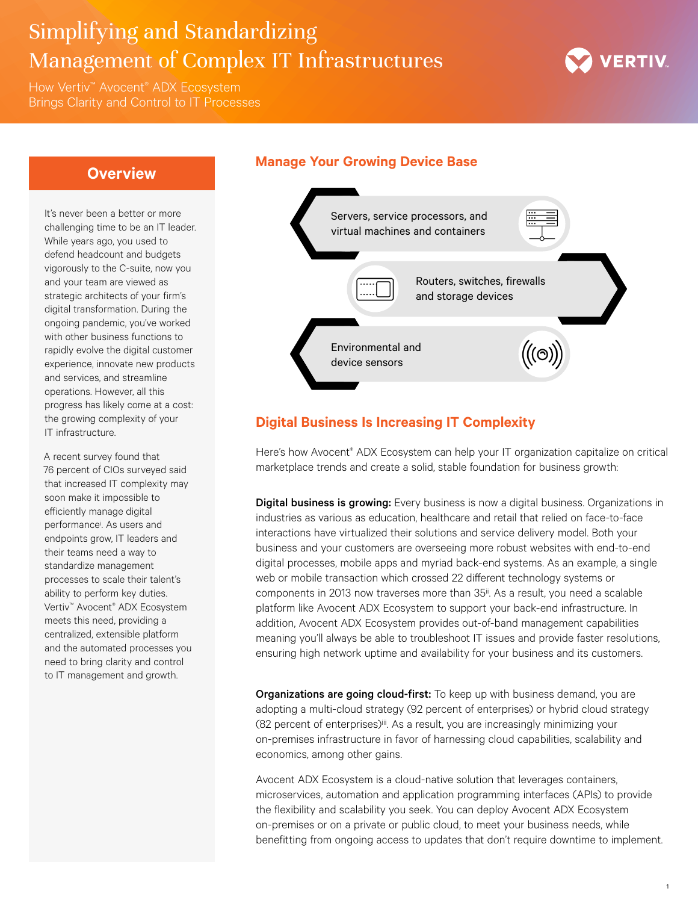# Simplifying and Standardizing Management of Complex IT Infrastructures

How Vertiv™ Avocent® ADX Ecosystem Brings Clarity and Control to IT Processes



## **Overview**

It's never been a better or more challenging time to be an IT leader. While years ago, you used to defend headcount and budgets vigorously to the C-suite, now you and your team are viewed as strategic architects of your firm's digital transformation. During the ongoing pandemic, you've worked with other business functions to rapidly evolve the digital customer experience, innovate new products and services, and streamline operations. However, all this progress has likely come at a cost: the growing complexity of your IT infrastructure.

A recent survey found that 76 percent of CIOs surveyed said that increased IT complexity may soon make it impossible to efficiently manage digital performancei . As users and endpoints grow, IT leaders and their teams need a way to standardize management processes to scale their talent's ability to perform key duties. Vertiv™ Avocent® ADX Ecosystem meets this need, providing a centralized, extensible platform and the automated processes you need to bring clarity and control to IT management and growth.

### **Manage Your Growing Device Base**



# **Digital Business Is Increasing IT Complexity**

Here's how Avocent® ADX Ecosystem can help your IT organization capitalize on critical marketplace trends and create a solid, stable foundation for business growth:

**Digital business is growing:** Every business is now a digital business. Organizations in industries as various as education, healthcare and retail that relied on face-to-face interactions have virtualized their solutions and service delivery model. Both your business and your customers are overseeing more robust websites with end-to-end digital processes, mobile apps and myriad back-end systems. As an example, a single web or mobile transaction which crossed 22 different technology systems or components in 2013 now traverses more than 35<sup>ii</sup>. As a result, you need a scalable platform like Avocent ADX Ecosystem to support your back-end infrastructure. In addition, Avocent ADX Ecosystem provides out-of-band management capabilities meaning you'll always be able to troubleshoot IT issues and provide faster resolutions, ensuring high network uptime and availability for your business and its customers.

Organizations are going cloud-first: To keep up with business demand, you are adopting a multi-cloud strategy (92 percent of enterprises) or hybrid cloud strategy (82 percent of enterprises)<sup>iii</sup>. As a result, you are increasingly minimizing your on-premises infrastructure in favor of harnessing cloud capabilities, scalability and economics, among other gains.

Avocent ADX Ecosystem is a cloud-native solution that leverages containers, microservices, automation and application programming interfaces (APIs) to provide the flexibility and scalability you seek. You can deploy Avocent ADX Ecosystem on-premises or on a private or public cloud, to meet your business needs, while benefitting from ongoing access to updates that don't require downtime to implement.